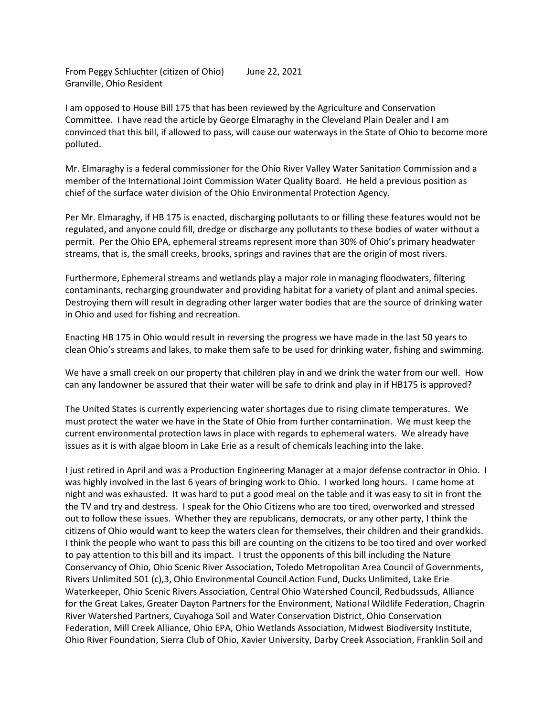From Peggy Schluchter (citizen of Ohio) June 22, 2021 Granville, Ohio Resident

I am opposed to House Bill 175 that has been reviewed by the Agriculture and Conservation Committee. I have read the article by George Elmaraghy in the Cleveland Plain Dealer and I am convinced that this bill, if allowed to pass, will cause our waterways in the State of Ohio to become more polluted.

Mr. Elmaraghy is a federal commissioner for the Ohio River Valley Water Sanitation Commission and a member of the International Joint Commission Water Quality Board. He held a previous position as chief of the surface water division of the Ohio Environmental Protection Agency.

Per Mr. Elmaraghy, if HB 175 is enacted, discharging pollutants to or filling these features would not be regulated, and anyone could fill, dredge or discharge any pollutants to these bodies of water without a permit. Per the Ohio EPA, ephemeral streams represent more than 30% of Ohio's primary headwater streams, that is, the small creeks, brooks, springs and ravines that are the origin of most rivers.

Furthermore, Ephemeral streams and wetlands play a major role in managing floodwaters, filtering contaminants, recharging groundwater and providing habitat for a variety of plant and animal species. Destroying them will result in degrading other larger water bodies that are the source of drinking water in Ohio and used for fishing and recreation.

Enacting HB 175 in Ohio would result in reversing the progress we have made in the last 50 years to clean Ohio's streams and lakes, to make them safe to be used for drinking water, fishing and swimming.

We have a small creek on our property that children play in and we drink the water from our well. How can any landowner be assured that their water will be safe to drink and play in if HB175 is approved?

The United States is currently experiencing water shortages due to rising climate temperatures. We must protect the water we have in the State of Ohio from further contamination. We must keep the current environmental protection laws in place with regards to ephemeral waters. We already have issues as it is with algae bloom in Lake Erie as a result of chemicals leaching into the lake.

I just retired in April and was a Production Engineering Manager at a major defense contractor in Ohio. I was highly involved in the last 6 years of bringing work to Ohio. I worked long hours. I came home at night and was exhausted. It was hard to put a good meal on the table and it was easy to sit in front the the TV and try and destress. I speak for the Ohio Citizens who are too tired, overworked and stressed out to follow these issues. Whether they are republicans, democrats, or any other party, I think the citizens of Ohio would want to keep the waters clean for themselves, their children and their grandkids. I think the people who want to pass this bill are counting on the citizens to be too tired and over worked to pay attention to this bill and its impact. I trust the opponents of this bill including the Nature Conservancy of Ohio, Ohio Scenic River Association, Toledo Metropolitan Area Council of Governments, Rivers Unlimited 501 (c),3, Ohio Environmental Council Action Fund, Ducks Unlimited, Lake Erie Waterkeeper, Ohio Scenic Rivers Association, Central Ohio Watershed Council, Redbudssuds, Alliance for the Great Lakes, Greater Dayton Partners for the Environment, National Wildlife Federation, Chagrin River Watershed Partners, Cuyahoga Soil and Water Conservation District, Ohio Conservation Federation, Mill Creek Alliance, Ohio EPA, Ohio Wetlands Association, Midwest Biodiversity Institute, Ohio River Foundation, Sierra Club of Ohio, Xavier University, Darby Creek Association, Franklin Soil and